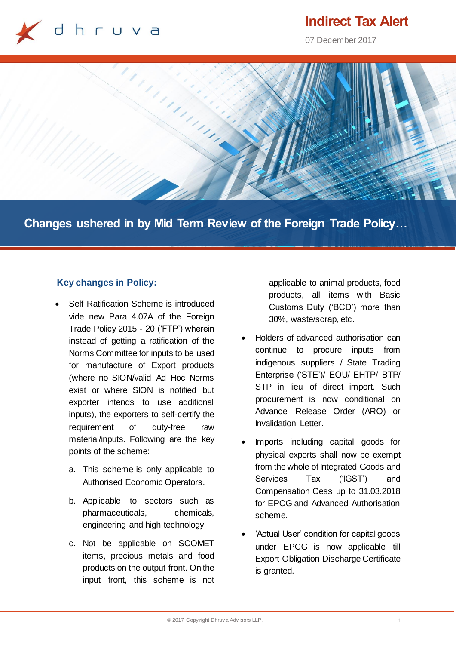

# **Indirect Tax Alert**

07 December 2017



**Changes ushered in by Mid Term Review of the Foreign Trade Policy…**

## **Key changes in Policy:**

- Self Ratification Scheme is introduced vide new Para 4.07A of the Foreign Trade Policy 2015 - 20 ('FTP') wherein instead of getting a ratification of the Norms Committee for inputs to be used for manufacture of Export products (where no SION/valid Ad Hoc Norms exist or where SION is notified but exporter intends to use additional inputs), the exporters to self-certify the requirement of duty-free raw material/inputs. Following are the key points of the scheme:
	- a. This scheme is only applicable to Authorised Economic Operators.
	- b. Applicable to sectors such as pharmaceuticals, chemicals, engineering and high technology
	- c. Not be applicable on SCOMET items, precious metals and food products on the output front. On the input front, this scheme is not

applicable to animal products, food products, all items with Basic Customs Duty ('BCD') more than 30%, waste/scrap, etc.

- Holders of advanced authorisation can continue to procure inputs from indigenous suppliers / State Trading Enterprise ('STE')/ EOU/ EHTP/ BTP/ STP in lieu of direct import. Such procurement is now conditional on Advance Release Order (ARO) or Invalidation Letter.
- Imports including capital goods for physical exports shall now be exempt from the whole of Integrated Goods and Services Tax ('IGST') and Compensation Cess up to 31.03.2018 for EPCG and Advanced Authorisation scheme.
- 'Actual User' condition for capital goods under EPCG is now applicable till Export Obligation Discharge Certificate is granted.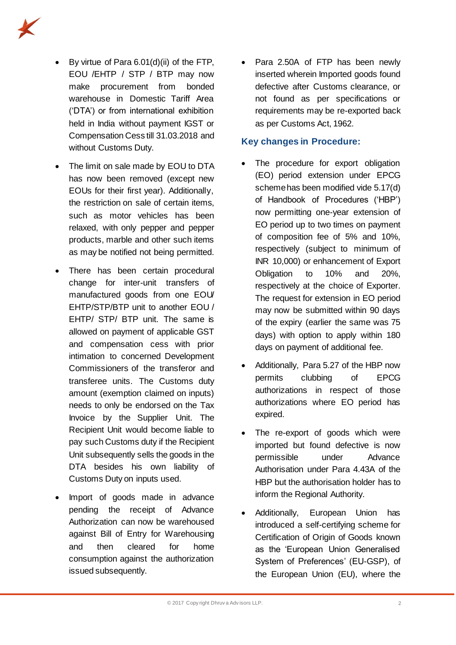

- By virtue of Para 6.01(d)(ii) of the FTP, EOU /EHTP / STP / BTP may now make procurement from bonded warehouse in Domestic Tariff Area ('DTA') or from international exhibition held in India without payment IGST or Compensation Cess till 31.03.2018 and without Customs Duty.
- The limit on sale made by EOU to DTA has now been removed (except new EOUs for their first year). Additionally, the restriction on sale of certain items, such as motor vehicles has been relaxed, with only pepper and pepper products, marble and other such items as may be notified not being permitted.
- There has been certain procedural change for inter-unit transfers of manufactured goods from one EOU/ EHTP/STP/BTP unit to another EOU / EHTP/ STP/ BTP unit. The same is allowed on payment of applicable GST and compensation cess with prior intimation to concerned Development Commissioners of the transferor and transferee units. The Customs duty amount (exemption claimed on inputs) needs to only be endorsed on the Tax Invoice by the Supplier Unit. The Recipient Unit would become liable to pay such Customs duty if the Recipient Unit subsequently sells the goods in the DTA besides his own liability of Customs Duty on inputs used.
- Import of goods made in advance pending the receipt of Advance Authorization can now be warehoused against Bill of Entry for Warehousing and then cleared for home consumption against the authorization issued subsequently.

• Para 2.50A of FTP has been newly inserted wherein Imported goods found defective after Customs clearance, or not found as per specifications or requirements may be re-exported back as per Customs Act, 1962.

### **Key changes in Procedure:**

- The procedure for export obligation (EO) period extension under EPCG scheme has been modified vide 5.17(d) of Handbook of Procedures ('HBP') now permitting one-year extension of EO period up to two times on payment of composition fee of 5% and 10%, respectively (subject to minimum of INR 10,000) or enhancement of Export Obligation to 10% and 20%, respectively at the choice of Exporter. The request for extension in EO period may now be submitted within 90 days of the expiry (earlier the same was 75 days) with option to apply within 180 days on payment of additional fee.
- Additionally, Para 5.27 of the HBP now permits clubbing of EPCG authorizations in respect of those authorizations where EO period has expired.
- The re-export of goods which were imported but found defective is now permissible under Advance Authorisation under Para 4.43A of the HBP but the authorisation holder has to inform the Regional Authority.
- Additionally, European Union has introduced a self-certifying scheme for Certification of Origin of Goods known as the 'European Union Generalised System of Preferences' (EU-GSP), of the European Union (EU), where the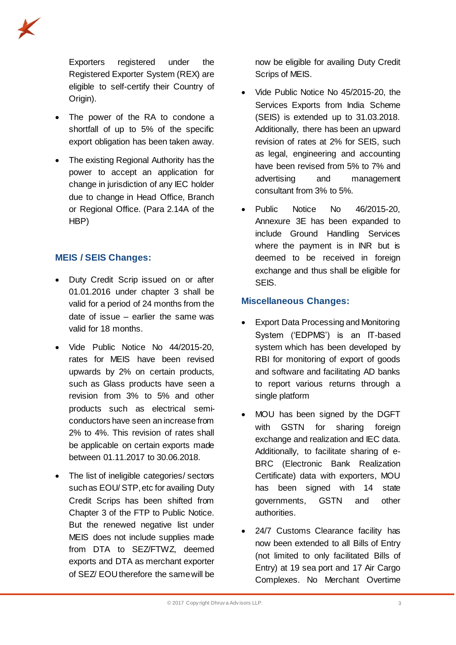Exporters registered under the Registered Exporter System (REX) are eligible to self-certify their Country of Origin).

- The power of the RA to condone a shortfall of up to 5% of the specific export obligation has been taken away.
- The existing Regional Authority has the power to accept an application for change in jurisdiction of any IEC holder due to change in Head Office, Branch or Regional Office. (Para 2.14A of the HBP)

# **MEIS / SEIS Changes:**

- Duty Credit Scrip issued on or after 01.01.2016 under chapter 3 shall be valid for a period of 24 months from the date of issue – earlier the same was valid for 18 months.
- Vide Public Notice No 44/2015-20, rates for MEIS have been revised upwards by 2% on certain products, such as Glass products have seen a revision from 3% to 5% and other products such as electrical semiconductors have seen an increase from 2% to 4%. This revision of rates shall be applicable on certain exports made between 01.11.2017 to 30.06.2018.
- The list of ineligible categories/ sectors such as EOU/ STP, etc for availing Duty Credit Scrips has been shifted from Chapter 3 of the FTP to Public Notice. But the renewed negative list under MEIS does not include supplies made from DTA to SEZ/FTWZ, deemed exports and DTA as merchant exporter of SEZ/ EOU therefore the same will be

now be eligible for availing Duty Credit Scrips of MEIS.

- Vide Public Notice No 45/2015-20, the Services Exports from India Scheme (SEIS) is extended up to 31.03.2018. Additionally, there has been an upward revision of rates at 2% for SEIS, such as legal, engineering and accounting have been revised from 5% to 7% and advertising and management consultant from 3% to 5%.
- Public Notice No 46/2015-20, Annexure 3E has been expanded to include Ground Handling Services where the payment is in INR but is deemed to be received in foreign exchange and thus shall be eligible for SEIS.

## **Miscellaneous Changes:**

- Export Data Processing and Monitoring System ('EDPMS') is an IT-based system which has been developed by RBI for monitoring of export of goods and software and facilitating AD banks to report various returns through a single platform
- MOU has been signed by the DGFT with GSTN for sharing foreign exchange and realization and IEC data. Additionally, to facilitate sharing of e-BRC (Electronic Bank Realization Certificate) data with exporters, MOU has been signed with 14 state governments, GSTN and other authorities.
- 24/7 Customs Clearance facility has now been extended to all Bills of Entry (not limited to only facilitated Bills of Entry) at 19 sea port and 17 Air Cargo Complexes. No Merchant Overtime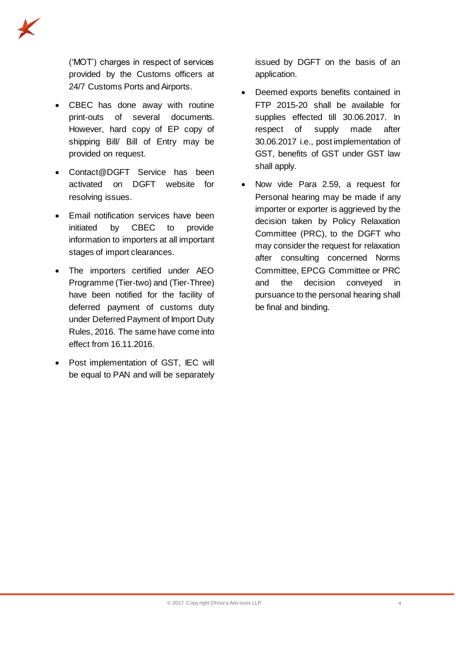

('MOT') charges in respect of services provided by the Customs officers at 24/7 Customs Ports and Airports.

- CBEC has done away with routine print-outs of several documents. However, hard copy of EP copy of shipping Bill/ Bill of Entry may be provided on request.
- Contact@DGFT Service has been activated on DGFT website for resolving issues.
- Email notification services have been initiated by CBEC to provide information to importers at all important stages of import clearances.
- The importers certified under AEO Programme (Tier-two) and (Tier-Three) have been notified for the facility of deferred payment of customs duty under Deferred Payment of Import Duty Rules, 2016. The same have come into effect from 16.11.2016.
- Post implementation of GST, IEC will be equal to PAN and will be separately

issued by DGFT on the basis of an application.

- Deemed exports benefits contained in FTP 2015-20 shall be available for supplies effected till 30.06.2017. In respect of supply made after 30.06.2017 i.e., post implementation of GST, benefits of GST under GST law shall apply.
- Now vide Para 2.59, a request for Personal hearing may be made if any importer or exporter is aggrieved by the decision taken by Policy Relaxation Committee (PRC), to the DGFT who may consider the request for relaxation after consulting concerned Norms Committee, EPCG Committee or PRC and the decision conveyed in pursuance to the personal hearing shall be final and binding.